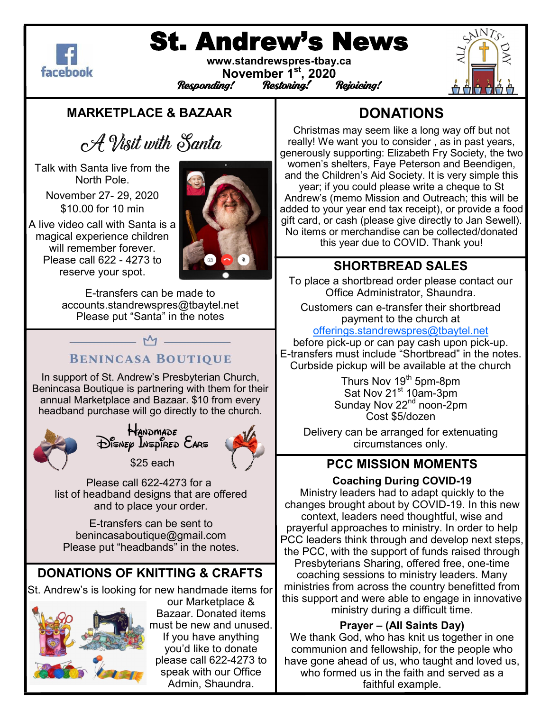

# St. Andrew's News

**www.standrewspres-tbay.ca November 1st, 2020** Responding!



#### **MARKETPLACE & BAZAAR**

## A Visit with Santa

Talk with Santa live from the North Pole.

November 27- 29, 2020 \$10.00 for 10 min

A live video call with Santa is a magical experience children will remember forever. Please call 622 - 4273 to reserve your spot.



E-transfers can be made to accounts.standrewspres@tbaytel.net Please put "Santa" in the notes

## **BENINCASA BOUTIQUE**

 $-M -$ 

In support of St. Andrew's Presbyterian Church, Benincasa Boutique is partnering with them for their annual Marketplace and Bazaar. \$10 from every headband purchase will go directly to the church.



Handmade<br>Disnep Inspired Ears

\$25 each



Please call 622-4273 for a list of headband designs that are offered and to place your order.

E-transfers can be sent to benincasaboutique@gmail.com Please put "headbands" in the notes.

## **DONATIONS OF KNITTING & CRAFTS**

St. Andrew's is looking for new handmade items for



our Marketplace & Bazaar. Donated items must be new and unused. If you have anything you'd like to donate please call 622-4273 to speak with our Office Admin, Shaundra.

## **DONATIONS**

Christmas may seem like a long way off but not really! We want you to consider , as in past years, generously supporting: Elizabeth Fry Society, the two women's shelters, Faye Peterson and Beendigen, and the Children's Aid Society. It is very simple this year; if you could please write a cheque to St Andrew's (memo Mission and Outreach; this will be added to your year end tax receipt), or provide a food gift card, or cash (please give directly to Jan Sewell). No items or merchandise can be collected/donated this year due to COVID. Thank you!

### **SHORTBREAD SALES**

To place a shortbread order please contact our Office Administrator, Shaundra.

Customers can e-transfer their shortbread payment to the church at

[offerings.standrewspres@tbaytel.net](mailto:offerings.standrewspres@tbaytel.net)

before pick-up or can pay cash upon pick-up. E-transfers must include "Shortbread" in the notes. Curbside pickup will be available at the church

> Thurs Nov 19<sup>th</sup> 5pm-8pm Sat Nov 21<sup>st</sup> 10am-3pm Sunday Nov 22<sup>nd</sup> noon-2pm Cost \$5/dozen

Delivery can be arranged for extenuating circumstances only.

#### **PCC MISSION MOMENTS**

#### **Coaching During COVID-19**

Ministry leaders had to adapt quickly to the changes brought about by COVID-19. In this new context, leaders need thoughtful, wise and prayerful approaches to ministry. In order to help PCC leaders think through and develop next steps, the PCC, with the support of funds raised through Presbyterians Sharing, offered free, one-time coaching sessions to ministry leaders. Many ministries from across the country benefitted from this support and were able to engage in innovative ministry during a difficult time.

#### **Prayer – (All Saints Day)**

We thank God, who has knit us together in one communion and fellowship, for the people who have gone ahead of us, who taught and loved us, who formed us in the faith and served as a faithful example.